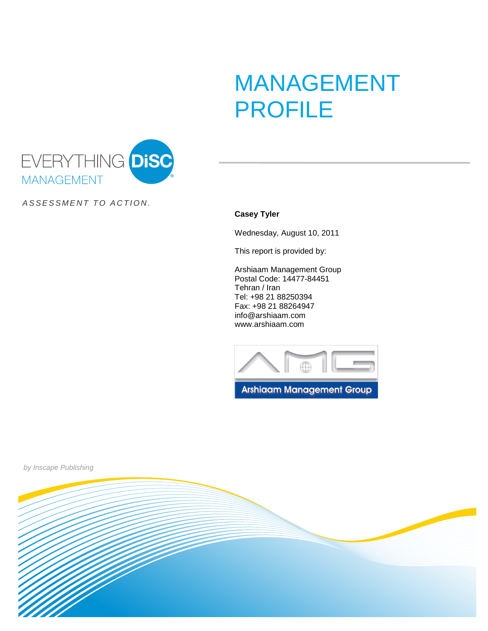# MANAGEMENT PROFILE



ASSESSMENT TO ACTION.

**Casey Tyler**

Wednesday, August 10, 2011

This report is provided by:

Arshiaam Management Group Postal Code: 14477-84451 Tehran / Iran Tel: +98 21 88250394 Fax: +98 21 88264947 info@arshiaam.com www.arshiaam.com





by Inscape Publishing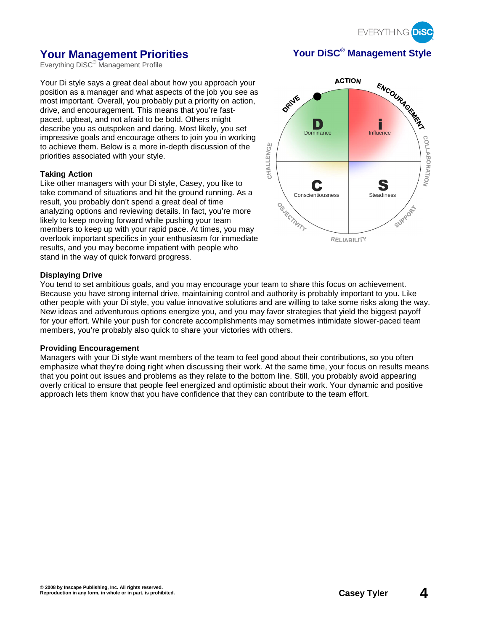

# **Your Management Priorities Your DiSC® Management Style**

Everything DiSC<sup>®</sup> Management Profile

Your Di style says a great deal about how you approach your position as a manager and what aspects of the job you see as most important. Overall, you probably put a priority on action, drive, and encouragement. This means that you're fastpaced, upbeat, and not afraid to be bold. Others might describe you as outspoken and daring. Most likely, you set impressive goals and encourage others to join you in working to achieve them. Below is a more in-depth discussion of the priorities associated with your style.

#### **Taking Action**

Like other managers with your Di style, Casey, you like to take command of situations and hit the ground running. As a result, you probably don't spend a great deal of time analyzing options and reviewing details. In fact, you're more likely to keep moving forward while pushing your team members to keep up with your rapid pace. At times, you may overlook important specifics in your enthusiasm for immediate results, and you may become impatient with people who stand in the way of quick forward progress.



#### **Displaying Drive**

You tend to set ambitious goals, and you may encourage your team to share this focus on achievement. Because you have strong internal drive, maintaining control and authority is probably important to you. Like other people with your Di style, you value innovative solutions and are willing to take some risks along the way. New ideas and adventurous options energize you, and you may favor strategies that yield the biggest payoff for your effort. While your push for concrete accomplishments may sometimes intimidate slower-paced team members, you're probably also quick to share your victories with others.

#### **Providing Encouragement**

Managers with your Di style want members of the team to feel good about their contributions, so you often emphasize what they're doing right when discussing their work. At the same time, your focus on results means that you point out issues and problems as they relate to the bottom line. Still, you probably avoid appearing overly critical to ensure that people feel energized and optimistic about their work. Your dynamic and positive approach lets them know that you have confidence that they can contribute to the team effort.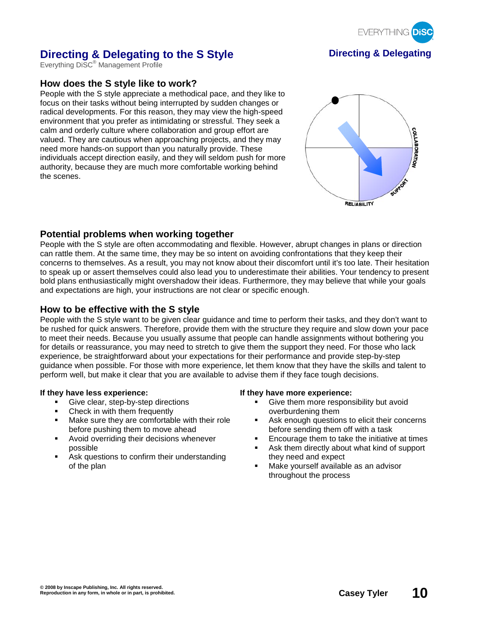

# **Directing & Delegating to the S Style <b>Direction Directing & Delegating**

Everything DiSC® Management Profile

# **How does the S style like to work?**

People with the S style appreciate a methodical pace, and they like to focus on their tasks without being interrupted by sudden changes or radical developments. For this reason, they may view the high-speed environment that you prefer as intimidating or stressful. They seek a calm and orderly culture where collaboration and group effort are valued. They are cautious when approaching projects, and they may need more hands-on support than you naturally provide. These individuals accept direction easily, and they will seldom push for more authority, because they are much more comfortable working behind the scenes.



#### **Potential problems when working together**

People with the S style are often accommodating and flexible. However, abrupt changes in plans or direction can rattle them. At the same time, they may be so intent on avoiding confrontations that they keep their concerns to themselves. As a result, you may not know about their discomfort until it's too late. Their hesitation to speak up or assert themselves could also lead you to underestimate their abilities. Your tendency to present bold plans enthusiastically might overshadow their ideas. Furthermore, they may believe that while your goals and expectations are high, your instructions are not clear or specific enough.

#### **How to be effective with the S style**

People with the S style want to be given clear guidance and time to perform their tasks, and they don't want to be rushed for quick answers. Therefore, provide them with the structure they require and slow down your pace to meet their needs. Because you usually assume that people can handle assignments without bothering you for details or reassurance, you may need to stretch to give them the support they need. For those who lack experience, be straightforward about your expectations for their performance and provide step-by-step guidance when possible. For those with more experience, let them know that they have the skills and talent to perform well, but make it clear that you are available to advise them if they face tough decisions.

- Give clear, step-by-step directions
- Check in with them frequently
- **Make sure they are comfortable with their role** before pushing them to move ahead
- Avoid overriding their decisions whenever possible
- Ask questions to confirm their understanding of the plan

#### **If they have less experience: If they have more experience:**

- Give them more responsibility but avoid overburdening them
- **Ask enough questions to elicit their concerns** before sending them off with a task
- Encourage them to take the initiative at times
- Ask them directly about what kind of support they need and expect
- Make yourself available as an advisor throughout the process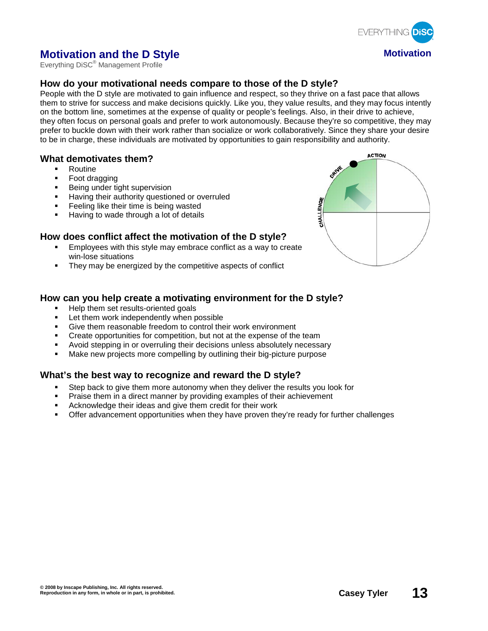

# **Motivation and the D Style Motivation**

Everything DiSC® Management Profile

# **How do your motivational needs compare to those of the D style?**

People with the D style are motivated to gain influence and respect, so they thrive on a fast pace that allows them to strive for success and make decisions quickly. Like you, they value results, and they may focus intently on the bottom line, sometimes at the expense of quality or people's feelings. Also, in their drive to achieve, they often focus on personal goals and prefer to work autonomously. Because they're so competitive, they may prefer to buckle down with their work rather than socialize or work collaboratively. Since they share your desire to be in charge, these individuals are motivated by opportunities to gain responsibility and authority.

#### **What demotivates them?**

- Routine
- Foot dragging
- Being under tight supervision
- Having their authority questioned or overruled
- **Feeling like their time is being wasted**
- Having to wade through a lot of details

## **How does conflict affect the motivation of the D style?**

- Employees with this style may embrace conflict as a way to create win-lose situations
- They may be energized by the competitive aspects of conflict

## **How can you help create a motivating environment for the D style?**

- Help them set results-oriented goals
- **EXECT:** Let them work independently when possible
- Give them reasonable freedom to control their work environment
- **•** Create opportunities for competition, but not at the expense of the team
- Avoid stepping in or overruling their decisions unless absolutely necessary
- Make new projects more compelling by outlining their big-picture purpose

# **What's the best way to recognize and reward the D style?**

- Step back to give them more autonomy when they deliver the results you look for
- Praise them in a direct manner by providing examples of their achievement
- Acknowledge their ideas and give them credit for their work
- Offer advancement opportunities when they have proven they're ready for further challenges